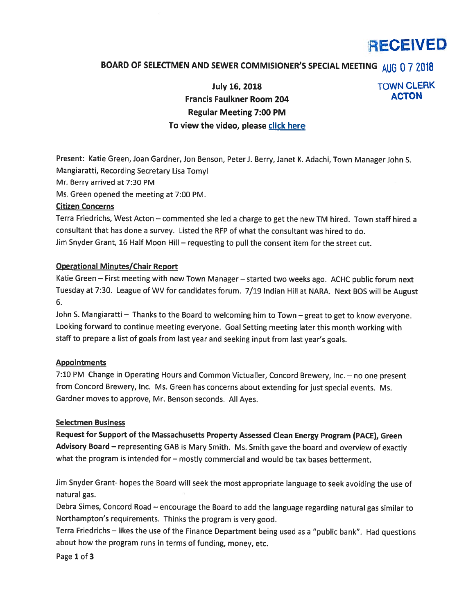# RECEIVED

# BOARD OF SELECTMEN AND SEWER COMMISIONER'S SPECIAL MEETING AUG 0 7 2018

July 16, 2018 TOWN CLERK Francis Faulkner Room 204 **ACTON** Regular Meeting 7:00 PM To view the video, please click here

Present: Katie Green, Joan Gardner, Jon Benson, PeterJ. Berry, Janet K. Adachi, Town Manager John S. Mangiaratti, Recording Secretary Lisa Tomyl

Mr. Berry arrived at 7:30 PM

Ms. Green opened the meeting at 7:00 PM.

#### Citizen Concerns

Terra Friedrichs, West Acton — commented she led <sup>a</sup> charge to ge<sup>t</sup> the new TM hired. Town staff hired <sup>a</sup> consultant that has done <sup>a</sup> survey. Listed the RFP of what the consultant was hired to do. Jim Snyder Grant, <sup>16</sup> Half Moon Hill — requesting to pull the consent item for the street cut.

#### Operational Minutes/Chair Report

Katie Green — First meeting with new Town Manager — started two weeks ago. ACHC public forum next Tuesday at 7:30. League of WV for candidates forum. 7/19 Indian Hill at NARA. Next BOS will be August 6.

John S. Mangiaratti — Thanks to the Board to welcoming him to Town — grea<sup>t</sup> to ge<sup>t</sup> to know everyone. Looking forward to continue meeting everyone. Goal Setting meeting later this month working with staff to prepare <sup>a</sup> list of goals from last year and seeking input from last year's goals.

#### **Appointments**

7:10 PM Change in Operating Hours and Common Victualler, Concord Brewery, Inc. — no one presen<sup>t</sup> from Concord Brewery, Inc. Ms. Green has concerns about extending for just special events. Ms. Gardner moves to approve, Mr. Benson seconds. All Ayes.

#### Selectmen Business

Request for Support of the Massachusetts Property Assessed Clean Energy Program (PACE), Green Advisory Board – representing GAB is Mary Smith. Ms. Smith gave the board and overview of exactly what the program is intended for - mostly commercial and would be tax bases betterment.

Jim Snyder Grant- hopes the Board will seek the most appropriate language to seek avoiding the use of natural gas.

Debra Simes, Concord Road — encourage the Board to add the language regarding natural gas similar to Northampton's requirements. Thinks the program is very good.

Terra Friedrichs — likes the use of the Finance Department being used as <sup>a</sup> "public bank". Had questions about how the program runs in terms of funding, money, etc.

Page 1 of 3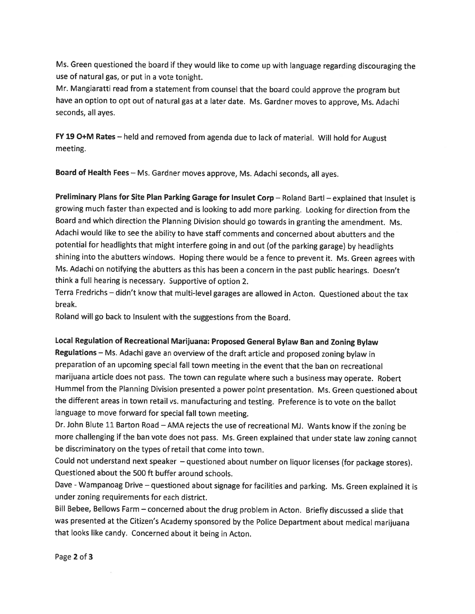Ms. Green questioned the board if they would like to come up with language regarding discouraging the use of natural gas, or put in <sup>a</sup> vote tonight.

Mr. Mangiaratti read from <sup>a</sup> statement from counsel that the board could approve the program but have an option to opt out of natural gas at <sup>a</sup> later date. Ms. Gardner moves to approve, Ms. Adachi seconds, all ayes.

FY <sup>19</sup> O+M Rates — held and removed from agenda due to lack of material. Will hold for August meeting.

Board of Health Fees — Ms. Gardner moves approve, Ms. Adachi seconds, all ayes.

Preliminary Plans for Site Plan Parking Garage for Insulet Corp - Roland Bartl - explained that Insulet is growing much faster than expected and is looking to add more parking. Looking for direction from the Board and which direction the Planning Division should go towards in granting the amendment. Ms. Adachi would like to see the ability to have staff comments and concerned about abutters and the potential for headlights that might interfere going in and out (of the parking garage) by headlights shining into the abutters windows. Hoping there would be <sup>a</sup> fence to prevent it. Ms. Green agrees with Ms. Adachi on notifying the abutters as this has been <sup>a</sup> concern in the past public hearings. Doesn't think <sup>a</sup> full hearing is necessary. Supportive of option 2.

Terra Fredrichs — didn't know that multi-level garages are allowed in Acton. Questioned about the tax break.

Roland will go back to Insulent with the suggestions from the Board.

### Local Regulation of Recreational Marijuana: Proposed General Bylaw Ban and Zoning Bylaw

Regulations — Ms. Adachi gave an overview of the draft article and proposed zoning bylaw in preparation of an upcoming special fall town meeting in the event that the ban on recreational marijuana article does not pass. The town can regulate where such <sup>a</sup> business may operate. Robert Hummel from the Planning Division presented <sup>a</sup> power point presentation. Ms. Green questioned about the different areas in town retail vs. manufacturing and testing. Preference is to vote on the ballot language to move forward for special fall town meeting.

Dr. John Blute <sup>11</sup> Barton Road — AMA rejects the use of recreational Mi. Wants know if the zoning be more challenging if the ban vote does not pass. Ms. Green explained that under state law zoning cannot be discriminatory on the types of retail that come into town.

Could not understand next speaker — questioned about number on liquor licenses (for package stores). Questioned about the 500 ft buffer around schools.

Dave -Wampanoag Drive — questioned about signage for facilities and parking. Ms. Green explained it is under zoning requirements for each district.

Bill Bebee, Bellows Farm — concerned about the drug problem in Acton. Briefly discussed <sup>a</sup> slide that was presented at the Citizen's Academy sponsored by the Police Department about medical marijuana that looks like candy. Concerned about it being in Acton.